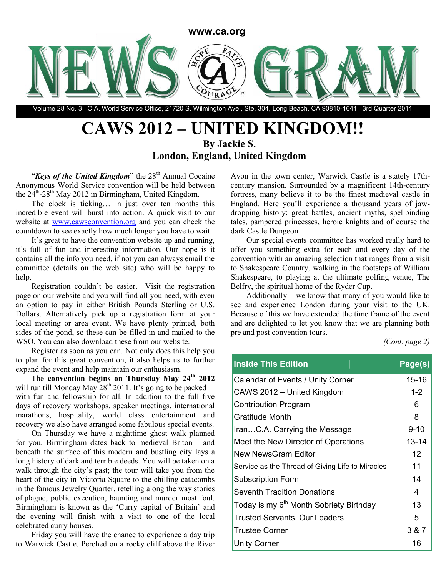

Volume 28 No. 3 C.A. World Service Office, 21720 S. Wilmington Ave., Ste. 304, Long Beach, CA 90810-1641 3rd Quarter 2011

# **CAWS 2012 – UNITED KINGDOM!! By Jackie S.**

**London, England, United Kingdom**

"*Keys of the United Kingdom*" the 28<sup>th</sup> Annual Cocaine Anonymous World Service convention will be held between the 24<sup>th</sup>-28<sup>th</sup> May 2012 in Birmingham, United Kingdom.

The clock is ticking… in just over ten months this incredible event will burst into action. A quick visit to our website at www.cawsconvention.org and you can check the countdown to see exactly how much longer you have to wait.

It's great to have the convention website up and running, it's full of fun and interesting information. Our hope is it contains all the info you need, if not you can always email the committee (details on the web site) who will be happy to help.

Registration couldn't be easier. Visit the registration page on our website and you will find all you need, with even an option to pay in either British Pounds Sterling or U.S. Dollars. Alternatively pick up a registration form at your local meeting or area event. We have plenty printed, both sides of the pond, so these can be filled in and mailed to the WSO. You can also download these from our website.

Register as soon as you can. Not only does this help you to plan for this great convention, it also helps us to further expand the event and help maintain our enthusiasm.

The **convention begins on Thursday May 24th 2012** will run till Monday May  $28<sup>th</sup> 2011$ . It's going to be packed with fun and fellowship for all. In addition to the full five days of recovery workshops, speaker meetings, international marathons, hospitality, world class entertainment and recovery we also have arranged some fabulous special events.

On Thursday we have a nighttime ghost walk planned for you. Birmingham dates back to medieval Briton and beneath the surface of this modern and bustling city lays a long history of dark and terrible deeds. You will be taken on a walk through the city's past; the tour will take you from the heart of the city in Victoria Square to the chilling catacombs in the famous Jewelry Quarter, retelling along the way stories of plague, public execution, haunting and murder most foul. Birmingham is known as the 'Curry capital of Britain' and the evening will finish with a visit to one of the local celebrated curry houses.

Friday you will have the chance to experience a day trip to Warwick Castle. Perched on a rocky cliff above the River Avon in the town center, Warwick Castle is a stately 17thcentury mansion. Surrounded by a magnificent 14th-century fortress, many believe it to be the finest medieval castle in England. Here you'll experience a thousand years of jawdropping history; great battles, ancient myths, spellbinding tales, pampered princesses, heroic knights and of course the dark Castle Dungeon

Our special events committee has worked really hard to offer you something extra for each and every day of the convention with an amazing selection that ranges from a visit to Shakespeare Country, walking in the footsteps of William Shakespeare, to playing at the ultimate golfing venue, The Belfry, the spiritual home of the Ryder Cup.

Additionally – we know that many of you would like to see and experience London during your visit to the UK. Because of this we have extended the time frame of the event and are delighted to let you know that we are planning both pre and post convention tours.

*(Cont. page 2)*

| <b>Inside This Edition</b>                          | Page(s)   |
|-----------------------------------------------------|-----------|
| Calendar of Events / Unity Corner                   | $15 - 16$ |
| CAWS 2012 - United Kingdom                          | $1 - 2$   |
| <b>Contribution Program</b>                         | 6         |
| <b>Gratitude Month</b>                              | 8         |
| IranC.A. Carrying the Message                       | $9 - 10$  |
| Meet the New Director of Operations                 | $13 - 14$ |
| New NewsGram Editor                                 | 12        |
| Service as the Thread of Giving Life to Miracles    | 11        |
| <b>Subscription Form</b>                            | 14        |
| <b>Seventh Tradition Donations</b>                  | 4         |
| Today is my 6 <sup>th</sup> Month Sobriety Birthday | 13        |
| <b>Trusted Servants, Our Leaders</b>                | 5         |
| <b>Trustee Corner</b>                               | 3 & 7     |
| <b>Unity Corner</b>                                 | 16        |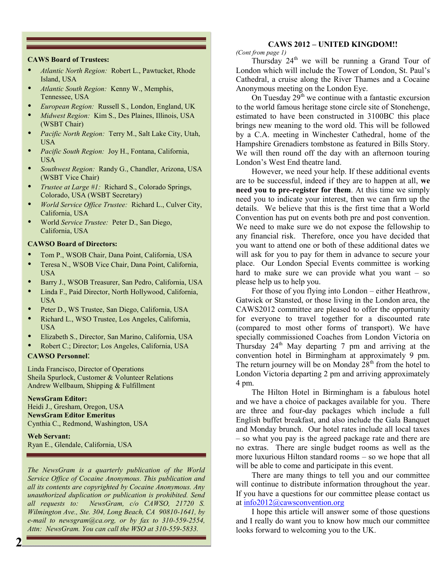#### **CAWS Board of Trustees:**

- *Atlantic North Region:* Robert L., Pawtucket, Rhode Island, USA
- *Atlantic South Region:* Kenny W., Memphis, Tennessee, USA
- *European Region:* Russell S., London, England, UK
- *Midwest Region:* Kim S., Des Plaines, Illinois, USA (WSBT Chair)
- *Pacific North Region:* Terry M., Salt Lake City, Utah, USA
- *Pacific South Region:* Joy H., Fontana, California, USA
- *Southwest Region:* Randy G., Chandler, Arizona, USA (WSBT Vice Chair)
- *Trustee at Large #1:* Richard S., Colorado Springs, Colorado, USA (WSBT Secretary)
- *World Service Office Trustee:* Richard L., Culver City, California, USA
- World *Service Trustee:* Peter D., San Diego, California, USA

#### **CAWSO Board of Directors:**

- Tom P., WSOB Chair, Dana Point, California, USA
- Teresa N., WSOB Vice Chair, Dana Point, California, USA
- Barry J., WSOB Treasurer, San Pedro, California, USA
- Linda F., Paid Director, North Hollywood, California, USA
- Peter D., WS Trustee, San Diego, California, USA
- Richard L., WSO Trustee, Los Angeles, California, USA
- Elizabeth S., Director, San Marino, California, USA
- Robert C.; Director; Los Angeles, California, USA

#### **CAWSO Personnel**:

Linda Francisco, Director of Operations Sheila Spurlock, Customer & Volunteer Relations Andrew Wellbaum, Shipping & Fulfillment

#### **NewsGram Editor:**

Heidi J., Gresham, Oregon, USA **NewsGram Editor Emeritus** Cynthia C., Redmond, Washington, USA

**Web Servant:** Ryan E., Glendale, California, USA

*The NewsGram is a quarterly publication of the World Service Office of Cocaine Anonymous. This publication and all its contents are copyrighted by Cocaine Anonymous. Any unauthorized duplication or publication is prohibited. Send all requests to: NewsGram, c/o CAWSO, 21720 S. Wilmington Ave., Ste. 304, Long Beach, CA 90810-1641, by e-mail to newsgram@ca.org, or by fax to 310-559-2554, Attn: NewsGram. You can call the WSO at 310-559-5833.*

#### **CAWS 2012 – UNITED KINGDOM!!**

*(Cont from page 1)*

Thursday  $24<sup>th</sup>$  we will be running a Grand Tour of London which will include the Tower of London, St. Paul's Cathedral, a cruise along the River Thames and a Cocaine Anonymous meeting on the London Eye.

On Tuesday  $29<sup>th</sup>$  we continue with a fantastic excursion to the world famous heritage stone circle site of Stonehenge, estimated to have been constructed in 3100BC this place brings new meaning to the word old. This will be followed by a C.A. meeting in Winchester Cathedral, home of the Hampshire Grenadiers tombstone as featured in Bills Story. We will then round off the day with an afternoon touring London's West End theatre land.

However, we need your help. If these additional events are to be successful, indeed if they are to happen at all, **we need you to pre-register for them**. At this time we simply need you to indicate your interest, then we can firm up the details. We believe that this is the first time that a World Convention has put on events both pre and post convention. We need to make sure we do not expose the fellowship to any financial risk. Therefore, once you have decided that you want to attend one or both of these additional dates we will ask for you to pay for them in advance to secure your place. Our London Special Events committee is working hard to make sure we can provide what you want – so please help us to help you.

For those of you flying into London – either Heathrow, Gatwick or Stansted, or those living in the London area, the CAWS2012 committee are pleased to offer the opportunity for everyone to travel together for a discounted rate (compared to most other forms of transport). We have specially commissioned Coaches from London Victoria on Thursday  $24<sup>th</sup>$  May departing 7 pm and arriving at the convention hotel in Birmingham at approximately 9 pm. The return journey will be on Monday  $28<sup>th</sup>$  from the hotel to London Victoria departing 2 pm and arriving approximately 4 pm.

The Hilton Hotel in Birmingham is a fabulous hotel and we have a choice of packages available for you. There are three and four-day packages which include a full English buffet breakfast, and also include the Gala Banquet and Monday brunch. Our hotel rates include all local taxes – so what you pay is the agreed package rate and there are no extras. There are single budget rooms as well as the more luxurious Hilton standard rooms – so we hope that all will be able to come and participate in this event.

There are many things to tell you and our committee will continue to distribute information throughout the year. If you have a questions for our committee please contact us at info2012@cawsconvention.org

I hope this article will answer some of those questions and I really do want you to know how much our committee looks forward to welcoming you to the UK.

**2**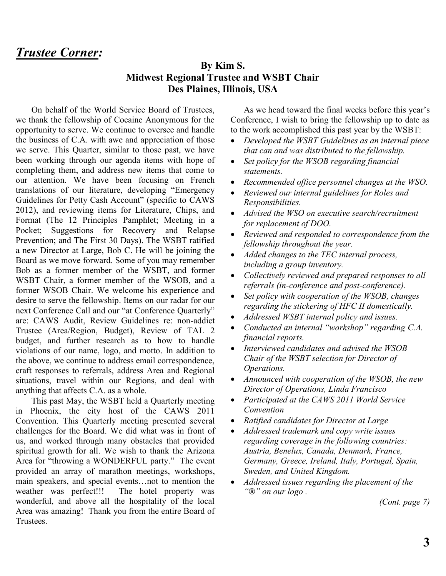## *Trustee Corner:*

#### **By Kim S. Midwest Regional Trustee and WSBT Chair Des Plaines, Illinois, USA**

On behalf of the World Service Board of Trustees, we thank the fellowship of Cocaine Anonymous for the opportunity to serve. We continue to oversee and handle the business of C.A. with awe and appreciation of those we serve. This Quarter, similar to those past, we have been working through our agenda items with hope of completing them, and address new items that come to our attention. We have been focusing on French translations of our literature, developing "Emergency Guidelines for Petty Cash Account" (specific to CAWS 2012), and reviewing items for Literature, Chips, and Format (The 12 Principles Pamphlet; Meeting in a Pocket; Suggestions for Recovery and Relapse Prevention; and The First 30 Days). The WSBT ratified a new Director at Large, Bob C. He will be joining the Board as we move forward. Some of you may remember Bob as a former member of the WSBT, and former WSBT Chair, a former member of the WSOB, and a former WSOB Chair. We welcome his experience and desire to serve the fellowship. Items on our radar for our next Conference Call and our "at Conference Quarterly" are: CAWS Audit, Review Guidelines re: non-addict Trustee (Area/Region, Budget), Review of TAL 2 budget, and further research as to how to handle violations of our name, logo, and motto. In addition to the above, we continue to address email correspondence, craft responses to referrals, address Area and Regional situations, travel within our Regions, and deal with anything that affects C.A. as a whole.

This past May, the WSBT held a Quarterly meeting in Phoenix, the city host of the CAWS 2011 Convention. This Quarterly meeting presented several challenges for the Board. We did what was in front of us, and worked through many obstacles that provided spiritual growth for all. We wish to thank the Arizona Area for "throwing a WONDERFUL party." The event provided an array of marathon meetings, workshops, main speakers, and special events…not to mention the weather was perfect!!! The hotel property was wonderful, and above all the hospitality of the local Area was amazing! Thank you from the entire Board of **Trustees** 

As we head toward the final weeks before this year's Conference, I wish to bring the fellowship up to date as to the work accomplished this past year by the WSBT:

- *Developed the WSBT Guidelines as an internal piece that can and was distributed to the fellowship.*
- *Set policy for the WSOB regarding financial statements.*
- *Recommended office personnel changes at the WSO.*
- *Reviewed our internal guidelines for Roles and Responsibilities.*
- *Advised the WSO on executive search/recruitment for replacement of DOO.*
- *Reviewed and responded to correspondence from the fellowship throughout the year.*
- *Added changes to the TEC internal process, including a group inventory.*
- *Collectively reviewed and prepared responses to all referrals (in-conference and post-conference).*
- *Set policy with cooperation of the WSOB, changes regarding the stickering of HFC II domestically.*
- *Addressed WSBT internal policy and issues.*
- *Conducted an internal "workshop" regarding C.A. financial reports.*
- *Interviewed candidates and advised the WSOB Chair of the WSBT selection for Director of Operations.*
- *Announced with cooperation of the WSOB, the new Director of Operations, Linda Francisco*
- *Participated at the CAWS 2011 World Service Convention*
- *Ratified candidates for Director at Large*
- *Addressed trademark and copy write issues regarding coverage in the following countries: Austria, Benelux, Canada, Denmark, France, Germany, Greece, Ireland, Italy, Portugal, Spain, Sweden, and United Kingdom.*
- *Addressed issues regarding the placement of the "***®***" on our logo .*

*(Cont. page 7)*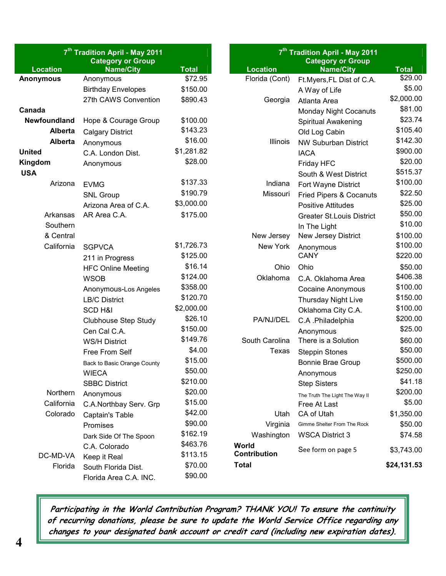| 7 <sup>th</sup> Tradition April - May 2011<br><b>Category or Group</b> |                             | 7 <sup>th</sup> Tradition April - May 2011<br><b>Category or Group</b> |                     |                                  |              |
|------------------------------------------------------------------------|-----------------------------|------------------------------------------------------------------------|---------------------|----------------------------------|--------------|
| <b>Location</b>                                                        | <b>Name/City</b>            | <b>Total</b>                                                           | <b>Location</b>     | <b>Name/City</b>                 | <b>Total</b> |
| <b>Anonymous</b>                                                       | Anonymous                   | \$72.95                                                                | Florida (Cont)      | Ft.Myers, FL Dist of C.A.        | \$29.00      |
|                                                                        | <b>Birthday Envelopes</b>   | \$150.00                                                               |                     | A Way of Life                    | \$5.00       |
|                                                                        | 27th CAWS Convention        | \$890.43                                                               | Georgia             | Atlanta Area                     | \$2,000.00   |
| Canada                                                                 |                             |                                                                        |                     | <b>Monday Night Cocanuts</b>     | \$81.00      |
| <b>Newfoundland</b>                                                    | Hope & Courage Group        | \$100.00                                                               |                     | Spiritual Awakening              | \$23.74      |
| <b>Alberta</b>                                                         | <b>Calgary District</b>     | \$143.23                                                               |                     | Old Log Cabin                    | \$105.40     |
| <b>Alberta</b>                                                         | Anonymous                   | \$16.00                                                                | Illinois            | <b>NW Suburban District</b>      | \$142.30     |
| <b>United</b>                                                          | C.A. London Dist.           | \$1,281.82                                                             |                     | <b>IACA</b>                      | \$900.00     |
| Kingdom                                                                | Anonymous                   | \$28.00                                                                |                     | Friday HFC                       | \$20.00      |
| <b>USA</b>                                                             |                             |                                                                        |                     | South & West District            | \$515.37     |
| Arizona                                                                | <b>EVMG</b>                 | \$137.33                                                               | Indiana             | Fort Wayne District              | \$100.00     |
|                                                                        | <b>SNL Group</b>            | \$190.79                                                               | Missouri            | Fried Pipers & Cocanuts          | \$22.50      |
|                                                                        | Arizona Area of C.A.        | \$3,000.00                                                             |                     | <b>Positive Attitudes</b>        | \$25.00      |
| Arkansas                                                               | AR Area C.A.                | \$175.00                                                               |                     | <b>Greater St.Louis District</b> | \$50.00      |
| Southern                                                               |                             |                                                                        |                     | In The Light                     | \$10.00      |
| & Central                                                              |                             |                                                                        | New Jersey          | New Jersey District              | \$100.00     |
| California                                                             | <b>SGPVCA</b>               | \$1,726.73                                                             | New York            | Anonymous                        | \$100.00     |
|                                                                        | 211 in Progress             | \$125.00                                                               |                     | <b>CANY</b>                      | \$220.00     |
|                                                                        | <b>HFC Online Meeting</b>   | \$16.14                                                                | Ohio                | Ohio                             | \$50.00      |
|                                                                        | <b>WSOB</b>                 | \$124.00                                                               | Oklahoma            | C.A. Oklahoma Area               | \$406.38     |
|                                                                        | Anonymous-Los Angeles       | \$358.00                                                               |                     | <b>Cocaine Anonymous</b>         | \$100.00     |
|                                                                        | <b>LB/C District</b>        | \$120.70                                                               |                     | Thursday Night Live              | \$150.00     |
|                                                                        | <b>SCD H&amp;I</b>          | \$2,000.00                                                             |                     | Oklahoma City C.A.               | \$100.00     |
|                                                                        | <b>Clubhouse Step Study</b> | \$26.10                                                                | PA/NJ/DEL           | C.A. Philadelphia                | \$200.00     |
|                                                                        | Cen Cal C.A.                | \$150.00                                                               |                     | Anonymous                        | \$25.00      |
|                                                                        | <b>WS/H District</b>        | \$149.76                                                               | South Carolina      | There is a Solution              | \$60.00      |
|                                                                        | Free From Self              | \$4.00                                                                 | Texas               | <b>Steppin Stones</b>            | \$50.00      |
|                                                                        | Back to Basic Orange County | \$15.00                                                                |                     | Bonnie Brae Group                | \$500.00     |
|                                                                        | <b>WIECA</b>                | \$50.00                                                                |                     | Anonymous                        | \$250.00     |
|                                                                        | <b>SBBC District</b>        | \$210.00                                                               |                     | <b>Step Sisters</b>              | \$41.18      |
| Northern                                                               | Anonymous                   | \$20.00                                                                |                     | The Truth The Light The Way II   | \$200.00     |
| California                                                             | C.A.Northbay Serv. Grp      | \$15.00                                                                |                     | Free At Last                     | \$5.00       |
| Colorado                                                               | <b>Captain's Table</b>      | \$42.00                                                                | Utah                | CA of Utah                       | \$1,350.00   |
|                                                                        | Promises                    | \$90.00                                                                | Virginia            | Gimme Shelter From The Rock      | \$50.00      |
|                                                                        | Dark Side Of The Spoon      | \$162.19                                                               | Washington          | <b>WSCA District 3</b>           | \$74.58      |
|                                                                        | C.A. Colorado               | \$463.76                                                               | World               |                                  |              |
| DC-MD-VA                                                               | Keep it Real                | \$113.15                                                               | <b>Contribution</b> | See form on page 5               | \$3,743.00   |
| Florida                                                                | South Florida Dist.         | \$70.00                                                                | <b>Total</b>        |                                  | \$24,131.53  |
|                                                                        | Florida Area C.A. INC.      | \$90.00                                                                |                     |                                  |              |

*Participating in the World Contribution Program? THANK YOU! To ensure the continuity of recurring donations, please be sure to update the World Service Office regarding any changes to your designated bank account or credit card (including new expiration dates).*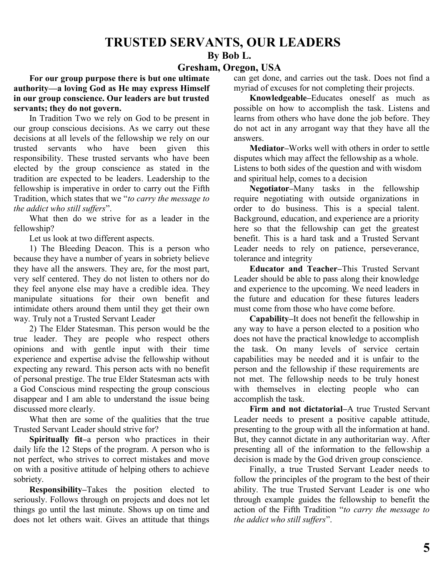## **TRUSTED SERVANTS, OUR LEADERS**

#### **By Bob L.**

#### **Gresham, Oregon, USA**

**For our group purpose there is but one ultimate authority—a loving God as He may express Himself in our group conscience. Our leaders are but trusted servants; they do not govern.**

In Tradition Two we rely on God to be present in our group conscious decisions. As we carry out these decisions at all levels of the fellowship we rely on our<br>trusted servants who have been given this trusted servants who have been given this responsibility. These trusted servants who have been elected by the group conscience as stated in the tradition are expected to be leaders. Leadership to the fellowship is imperative in order to carry out the Fifth Tradition, which states that we "*to carry the message to the addict who still suffers*".

What then do we strive for as a leader in the fellowship?

Let us look at two different aspects.

1) The Bleeding Deacon. This is a person who because they have a number of years in sobriety believe they have all the answers. They are, for the most part, very self centered. They do not listen to others nor do they feel anyone else may have a credible idea. They manipulate situations for their own benefit and intimidate others around them until they get their own way. Truly not a Trusted Servant Leader

2) The Elder Statesman. This person would be the true leader. They are people who respect others opinions and with gentle input with their time experience and expertise advise the fellowship without expecting any reward. This person acts with no benefit of personal prestige. The true Elder Statesman acts with a God Conscious mind respecting the group conscious disappear and I am able to understand the issue being discussed more clearly.

What then are some of the qualities that the true Trusted Servant Leader should strive for?

**Spiritually fit–**a person who practices in their daily life the 12 Steps of the program. A person who is not perfect, who strives to correct mistakes and move on with a positive attitude of helping others to achieve sobriety.

**Responsibility–**Takes the position elected to seriously. Follows through on projects and does not let things go until the last minute. Shows up on time and does not let others wait. Gives an attitude that things can get done, and carries out the task. Does not find a myriad of excuses for not completing their projects.

**Knowledgeable–**Educates oneself as much as possible on how to accomplish the task. Listens and learns from others who have done the job before. They do not act in any arrogant way that they have all the answers.

**Mediator–**Works well with others in order to settle disputes which may affect the fellowship as a whole. Listens to both sides of the question and with wisdom and spiritual help, comes to a decision

**Negotiator–**Many tasks in the fellowship require negotiating with outside organizations in order to do business. This is a special talent. Background, education, and experience are a priority here so that the fellowship can get the greatest benefit. This is a hard task and a Trusted Servant Leader needs to rely on patience, perseverance, tolerance and integrity

**Educator and Teacher–**This Trusted Servant Leader should be able to pass along their knowledge and experience to the upcoming. We need leaders in the future and education for these futures leaders must come from those who have come before.

**Capability–**It does not benefit the fellowship in any way to have a person elected to a position who does not have the practical knowledge to accomplish the task. On many levels of service certain capabilities may be needed and it is unfair to the person and the fellowship if these requirements are not met. The fellowship needs to be truly honest with themselves in electing people who can accomplish the task.

**Firm and not dictatorial–**A true Trusted Servant Leader needs to present a positive capable attitude, presenting to the group with all the information at hand. But, they cannot dictate in any authoritarian way. After presenting all of the information to the fellowship a decision is made by the God driven group conscience.

Finally, a true Trusted Servant Leader needs to follow the principles of the program to the best of their ability. The true Trusted Servant Leader is one who through example guides the fellowship to benefit the action of the Fifth Tradition "*to carry the message to the addict who still suffers*".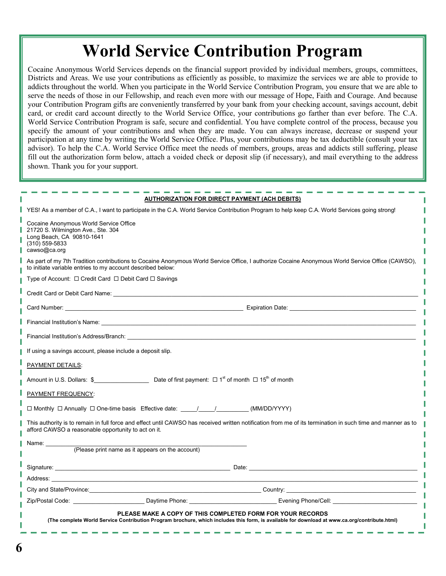# **World Service Contribution Program**

Cocaine Anonymous World Services depends on the financial support provided by individual members, groups, committees, Districts and Areas. We use your contributions as efficiently as possible, to maximize the services we are able to provide to addicts throughout the world. When you participate in the World Service Contribution Program, you ensure that we are able to serve the needs of those in our Fellowship, and reach even more with our message of Hope, Faith and Courage. And because your Contribution Program gifts are conveniently transferred by your bank from your checking account, savings account, debit card, or credit card account directly to the World Service Office, your contributions go farther than ever before. The C.A. World Service Contribution Program is safe, secure and confidential. You have complete control of the process, because you specify the amount of your contributions and when they are made. You can always increase, decrease or suspend your participation at any time by writing the World Service Office. Plus, your contributions may be tax deductible (consult your tax advisor). To help the C.A. World Service Office meet the needs of members, groups, areas and addicts still suffering, please fill out the authorization form below, attach a voided check or deposit slip (if necessary), and mail everything to the address shown. Thank you for your support.

| <b>AUTHORIZATION FOR DIRECT PAYMENT (ACH DEBITS)</b>                                                                                                                                                                           |  |  |  |  |  |
|--------------------------------------------------------------------------------------------------------------------------------------------------------------------------------------------------------------------------------|--|--|--|--|--|
| YES! As a member of C.A., I want to participate in the C.A. World Service Contribution Program to help keep C.A. World Services going strong!                                                                                  |  |  |  |  |  |
| Cocaine Anonymous World Service Office<br>21720 S. Wilmington Ave., Ste. 304<br>Long Beach, CA 90810-1641<br>(310) 559-5833<br>cawso@ca.org                                                                                    |  |  |  |  |  |
| As part of my 7th Tradition contributions to Cocaine Anonymous World Service Office, I authorize Cocaine Anonymous World Service Office (CAWSO),<br>to initiate variable entries to my account described below:                |  |  |  |  |  |
| Type of Account: □ Credit Card □ Debit Card □ Savings                                                                                                                                                                          |  |  |  |  |  |
|                                                                                                                                                                                                                                |  |  |  |  |  |
|                                                                                                                                                                                                                                |  |  |  |  |  |
| Financial Institution's Name: <b>Example 2018</b> 2019 12:30 AM 2019 20:41 20:42 AM 20:42 20:42 20:42 AM 20:42 20:42                                                                                                           |  |  |  |  |  |
| Financial Institution's Address/Branch: Charles Contract Contract Contract Contract Contract Contract Contract Contract Contract Contract Contract Contract Contract Contract Contract Contract Contract Contract Contract Con |  |  |  |  |  |
| If using a savings account, please include a deposit slip.                                                                                                                                                                     |  |  |  |  |  |
| PAYMENT DETAILS:                                                                                                                                                                                                               |  |  |  |  |  |
| Amount in U.S. Dollars: $\frac{1}{2}$ Date of first payment: $\Box$ 1 <sup>st</sup> of month $\Box$ 15 <sup>th</sup> of month                                                                                                  |  |  |  |  |  |
| PAYMENT FREQUENCY:                                                                                                                                                                                                             |  |  |  |  |  |
| □ Monthly □ Annually □ One-time basis Effective date: _____/________________(MM/DD/YYYY)                                                                                                                                       |  |  |  |  |  |
| This authority is to remain in full force and effect until CAWSO has received written notification from me of its termination in such time and manner as to<br>afford CAWSO a reasonable opportunity to act on it.             |  |  |  |  |  |
| Name: _________                                                                                                                                                                                                                |  |  |  |  |  |
| (Please print name as it appears on the account)                                                                                                                                                                               |  |  |  |  |  |
|                                                                                                                                                                                                                                |  |  |  |  |  |
|                                                                                                                                                                                                                                |  |  |  |  |  |
|                                                                                                                                                                                                                                |  |  |  |  |  |
| Zip/Postal Code: Contract Code: Capacitation Contract Code Daytime Phone: Code Code Daytime Phone:                                                                                                                             |  |  |  |  |  |
| PLEASE MAKE A COPY OF THIS COMPLETED FORM FOR YOUR RECORDS<br>(The complete World Service Contribution Program brochure, which includes this form, is available for download at www.ca.org/contribute.html)                    |  |  |  |  |  |
|                                                                                                                                                                                                                                |  |  |  |  |  |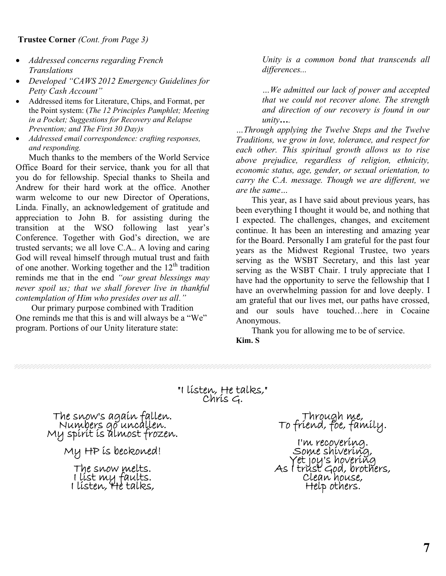- *Addressed concerns regarding French Translations*
- *Developed "CAWS 2012 Emergency Guidelines for Petty Cash Account"*
- Addressed items for Literature, Chips, and Format, per the Point system: (*The 12 Principles Pamphlet; Meeting in a Pocket; Suggestions for Recovery and Relapse Prevention; and The First 30 Day)s*
- *Addressed email correspondence: crafting responses, and responding.*

Much thanks to the members of the World Service Office Board for their service, thank you for all that you do for fellowship. Special thanks to Sheila and Andrew for their hard work at the office. Another warm welcome to our new Director of Operations, Linda. Finally, an acknowledgement of gratitude and appreciation to John B. for assisting during the transition at the WSO following last year's Conference. Together with God's direction, we are trusted servants; we all love C.A.. A loving and caring God will reveal himself through mutual trust and faith of one another. Working together and the  $12<sup>th</sup>$  tradition reminds me that in the end *"our great blessings may never spoil us; that we shall forever live in thankful contemplation of Him who presides over us all."*

Our primary purpose combined with Tradition One reminds me that this is and will always be a "We" program. Portions of our Unity literature state:

*Unity is a common bond that transcends all differences...*

*…We admitted our lack of power and accepted that we could not recover alone. The strength and direction of our recovery is found in our unity….*

*…Through applying the Twelve Steps and the Twelve Traditions, we grow in love, tolerance, and respect for each other. This spiritual growth allows us to rise above prejudice, regardless of religion, ethnicity, economic status, age, gender, or sexual orientation, to carry the C.A. message. Though we are different, we are the same…*

This year, as I have said about previous years, has been everything I thought it would be, and nothing that I expected. The challenges, changes, and excitement continue. It has been an interesting and amazing year for the Board. Personally I am grateful for the past four years as the Midwest Regional Trustee, two years serving as the WSBT Secretary, and this last year serving as the WSBT Chair. I truly appreciate that I have had the opportunity to serve the fellowship that I have an overwhelming passion for and love deeply. I am grateful that our lives met, our paths have crossed, and our souls have touched…here in Cocaine Anonymous.

Thank you for allowing me to be of service.

**Kim. S**

**"I listen, He talks," Chris G.**

**The snow's again fallen. Numbers go uncallen. My spirit is almost frozen.**

**My HP is beckoned!**

**The snow melts. I list my faults. I listen, He talks,**

**Through me, To friend, foe, family.**

**I'm recovering. Some shivering, Yet joy's hovering As I trust God, brothers, Clean house, Help others.**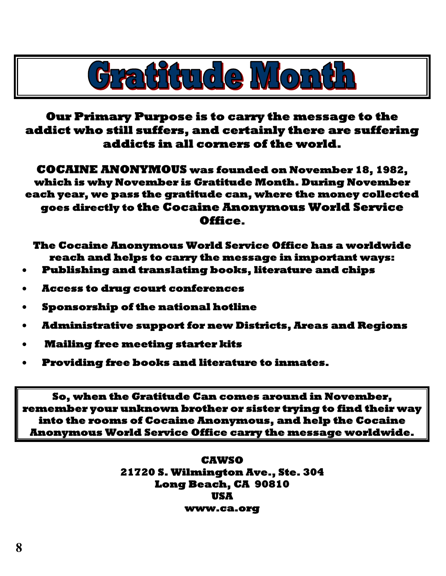

**Our Primary Purpose is to carry the message to the addict who still suffers, and certainly there are suffering addicts in all corners of the world.**

**COCAINE ANONYMOUS was founded on November 18, 1982, which is why November is Gratitude Month. During November each year, we pass the gratitude can, where the money collected goes directly to the Cocaine Anonymous World Service Office.**

**The Cocaine Anonymous World Service Office has a worldwide reach and helps to carry the message in important ways:**

- **Publishing and translating books, literature and chips**
- **Access to drug court conferences**
- **Sponsorship of the national hotline**
- **Administrative support for new Districts, Areas and Regions**
- **Mailing free meeting starter kits**
- **Providing free books and literature to inmates.**

**So, when the Gratitude Can comes around in November, remember your unknown brother or sister trying to find their way into the rooms of Cocaine Anonymous, and help the Cocaine Anonymous World Service Office carry the message worldwide.**

> **CAWSO 21720 S. Wilmington Ave., Ste. 304 Long Beach, CA 90810 USA www.ca.org**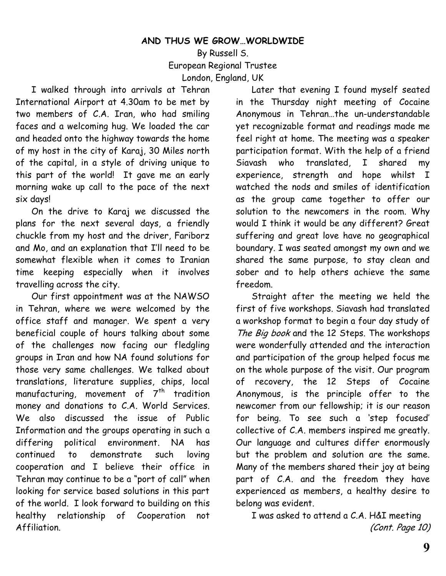#### **AND THUS WE GROW…WORLDWIDE**

By Russell S. European Regional Trustee London, England, UK

I walked through into arrivals at Tehran International Airport at 4.30am to be met by two members of C.A. Iran, who had smiling faces and a welcoming hug. We loaded the car and headed onto the highway towards the home of my host in the city of Karaj, 30 Miles north of the capital, in a style of driving unique to this part of the world! It gave me an early morning wake up call to the pace of the next six days!

On the drive to Karaj we discussed the plans for the next several days, a friendly chuckle from my host and the driver, Fariborz and Mo, and an explanation that I'll need to be somewhat flexible when it comes to Iranian time keeping especially when it involves travelling across the city.

Our first appointment was at the NAWSO in Tehran, where we were welcomed by the office staff and manager. We spent a very beneficial couple of hours talking about some of the challenges now facing our fledgling groups in Iran and how NA found solutions for those very same challenges. We talked about translations, literature supplies, chips, local manufacturing, movement of  $7<sup>th</sup>$  tradition money and donations to C.A. World Services. We also discussed the issue of Public Information and the groups operating in such a differing political environment. NA has continued to demonstrate such loving cooperation and I believe their office in Tehran may continue to be a "port of call" when looking for service based solutions in this part of the world. I look forward to building on this healthy relationship of Cooperation not Affiliation.

Later that evening I found myself seated in the Thursday night meeting of Cocaine Anonymous in Tehran…the un-understandable yet recognizable format and readings made me feel right at home. The meeting was a speaker participation format. With the help of a friend Siavash who translated, I shared my experience, strength and hope whilst I watched the nods and smiles of identification as the group came together to offer our solution to the newcomers in the room. Why would I think it would be any different? Great suffering and great love have no geographical boundary. I was seated amongst my own and we shared the same purpose, to stay clean and sober and to help others achieve the same freedom.

Straight after the meeting we held the first of five workshops. Siavash had translated a workshop format to begin a four day study of *The Big book* and the 12 Steps. The workshops were wonderfully attended and the interaction and participation of the group helped focus me on the whole purpose of the visit. Our program of recovery, the 12 Steps of Cocaine Anonymous, is the principle offer to the newcomer from our fellowship; it is our reason for being. To see such a 'step focused' collective of C.A. members inspired me greatly. Our language and cultures differ enormously but the problem and solution are the same. Many of the members shared their joy at being part of C.A. and the freedom they have experienced as members, a healthy desire to belong was evident.

I was asked to attend a C.A. H&I meeting *(Cont. Page 10)*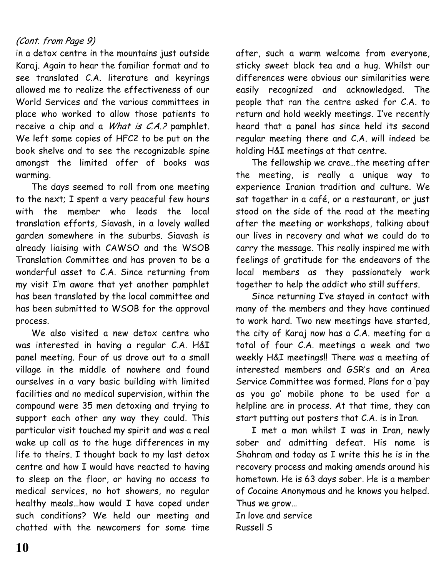## *(Cont. from Page 9)*

in a detox centre in the mountains just outside Karaj. Again to hear the familiar format and to see translated C.A. literature and keyrings allowed me to realize the effectiveness of our World Services and the various committees in place who worked to allow those patients to receive a chip and a *What is C.A.?* pamphlet. We left some copies of HFC2 to be put on the book shelve and to see the recognizable spine amongst the limited offer of books was warming.

The days seemed to roll from one meeting to the next; I spent a very peaceful few hours with the member who leads the local translation efforts, Siavash, in a lovely walled garden somewhere in the suburbs. Siavash is already liaising with CAWSO and the WSOB Translation Committee and has proven to be a wonderful asset to C.A. Since returning from my visit I'm aware that yet another pamphlet has been translated by the local committee and has been submitted to WSOB for the approval process.

We also visited a new detox centre who was interested in having a regular C.A. H&I panel meeting. Four of us drove out to a small village in the middle of nowhere and found ourselves in a vary basic building with limited facilities and no medical supervision, within the compound were 35 men detoxing and trying to support each other any way they could. This particular visit touched my spirit and was a real wake up call as to the huge differences in my life to theirs. I thought back to my last detox centre and how I would have reacted to having to sleep on the floor, or having no access to medical services, no hot showers, no regular healthy meals…how would I have coped under such conditions? We held our meeting and chatted with the newcomers for some time

after, such a warm welcome from everyone, sticky sweet black tea and a hug. Whilst our differences were obvious our similarities were easily recognized and acknowledged. The people that ran the centre asked for C.A. to return and hold weekly meetings. I've recently heard that a panel has since held its second regular meeting there and C.A. will indeed be holding H&I meetings at that centre.

The fellowship we crave…the meeting after the meeting, is really a unique way to experience Iranian tradition and culture. We sat together in a café, or a restaurant, or just stood on the side of the road at the meeting after the meeting or workshops, talking about our lives in recovery and what we could do to carry the message. This really inspired me with feelings of gratitude for the endeavors of the local members as they passionately work together to help the addict who still suffers.

Since returning I've stayed in contact with many of the members and they have continued to work hard. Two new meetings have started, the city of Karaj now has a C.A. meeting for a total of four C.A. meetings a week and two weekly H&I meetings!! There was a meeting of interested members and GSR's and an Area Service Committee was formed. Plans for a 'pay as you go' mobile phone to be used for a helpline are in process. At that time, they can start putting out posters that C.A. is in Iran.

I met a man whilst I was in Iran, newly sober and admitting defeat. His name is Shahram and today as I write this he is in the recovery process and making amends around his hometown. He is 63 days sober. He is a member of Cocaine Anonymous and he knows you helped. Thus we grow…

In love and service Russell S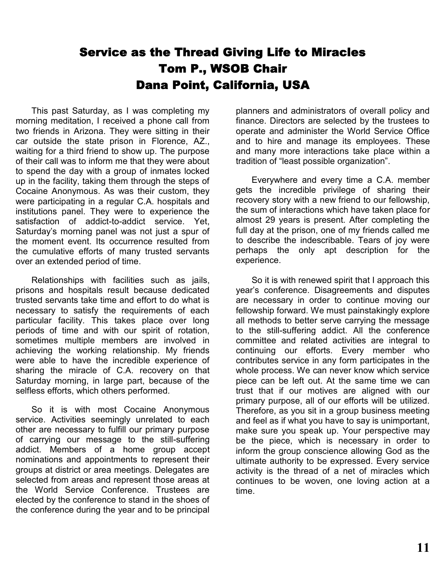# **Service as the Thread Giving Life to Miracles Tom P., WSOB Chair Dana Point, California, USA**

This past Saturday, as I was completing my morning meditation, I received a phone call from two friends in Arizona. They were sitting in their car outside the state prison in Florence, AZ., waiting for a third friend to show up. The purpose of their call was to inform me that they were about to spend the day with a group of inmates locked up in the facility, taking them through the steps of Cocaine Anonymous. As was their custom, they were participating in a regular C.A. hospitals and institutions panel. They were to experience the satisfaction of addict-to-addict service. Yet, Saturday's morning panel was not just a spur of the moment event. Its occurrence resulted from the cumulative efforts of many trusted servants over an extended period of time.

Relationships with facilities such as jails, prisons and hospitals result because dedicated trusted servants take time and effort to do what is necessary to satisfy the requirements of each particular facility. This takes place over long periods of time and with our spirit of rotation, sometimes multiple members are involved in achieving the working relationship. My friends were able to have the incredible experience of sharing the miracle of C.A. recovery on that Saturday morning, in large part, because of the selfless efforts, which others performed.

So it is with most Cocaine Anonymous service. Activities seemingly unrelated to each other are necessary to fulfill our primary purpose of carrying our message to the still-suffering addict. Members of a home group accept nominations and appointments to represent their groups at district or area meetings. Delegates are selected from areas and represent those areas at the World Service Conference. Trustees are elected by the conference to stand in the shoes of the conference during the year and to be principal

planners and administrators of overall policy and finance. Directors are selected by the trustees to operate and administer the World Service Office and to hire and manage its employees. These and many more interactions take place within a tradition of "least possible organization".

Everywhere and every time a C.A. member gets the incredible privilege of sharing their recovery story with a new friend to our fellowship, the sum of interactions which have taken place for almost 29 years is present. After completing the full day at the prison, one of my friends called me to describe the indescribable. Tears of joy were perhaps the only apt description for the experience.

So it is with renewed spirit that I approach this year's conference. Disagreements and disputes are necessary in order to continue moving our fellowship forward. We must painstakingly explore all methods to better serve carrying the message to the still-suffering addict. All the conference committee and related activities are integral to continuing our efforts. Every member who contributes service in any form participates in the whole process. We can never know which service piece can be left out. At the same time we can trust that if our motives are aligned with our primary purpose, all of our efforts will be utilized. Therefore, as you sit in a group business meeting and feel as if what you have to say is unimportant, make sure you speak up. Your perspective may be the piece, which is necessary in order to inform the group conscience allowing God as the ultimate authority to be expressed. Every service activity is the thread of a net of miracles which continues to be woven, one loving action at a time.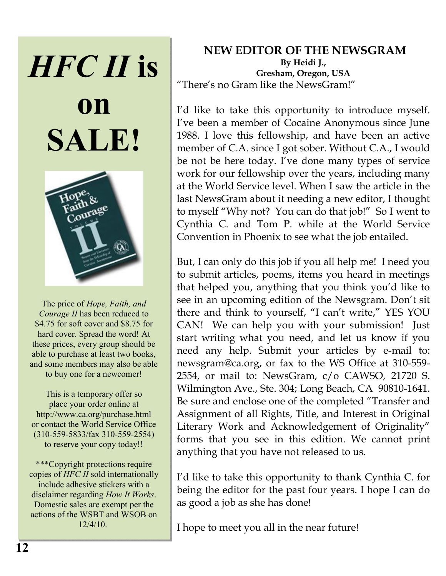# *HFC II* **is**





The price of *Hope, Faith, and Courage II* has been reduced to \$4.75 for soft cover and \$8.75 for hard cover. Spread the word! At these prices, every group should be able to purchase at least two books, and some members may also be able to buy one for a newcomer!

This is a temporary offer so place your order online at http://www.ca.org/purchase.html or contact the World Service Office (310-559-5833/fax 310-559-2554) to reserve your copy today!!

\*\*\*Copyright protections require copies of *HFC II* sold internationally include adhesive stickers with a disclaimer regarding *How It Works*. Domestic sales are exempt per the actions of the WSBT and WSOB on 12/4/10.

## **NEW EDITOR OF THE NEWSGRAM By Heidi J., Gresham, Oregon, USA** "There's no Gram like the NewsGram!"

I'd like to take this opportunity to introduce myself. I've been a member of Cocaine Anonymous since June 1988. I love this fellowship, and have been an active member of C.A. since I got sober. Without C.A., I would be not be here today. I've done many types of service work for our fellowship over the years, including many at the World Service level. When I saw the article in the last NewsGram about it needing a new editor, I thought to myself "Why not? You can do that job!" So I went to Cynthia C. and Tom P. while at the World Service Convention in Phoenix to see what the job entailed.

But, I can only do this job if you all help me! I need you to submit articles, poems, items you heard in meetings that helped you, anything that you think you'd like to see in an upcoming edition of the Newsgram. Don't sit there and think to yourself, "I can't write," YES YOU CAN! We can help you with your submission! Just start writing what you need, and let us know if you need any help. Submit your articles by e-mail to: newsgram@ca.org, or fax to the WS Office at 310-559- 2554, or mail to: NewsGram, c/o CAWSO, 21720 S. Wilmington Ave., Ste. 304; Long Beach, CA 90810-1641. Be sure and enclose one of the completed "Transfer and Assignment of all Rights, Title, and Interest in Original Literary Work and Acknowledgement of Originality" forms that you see in this edition. We cannot print anything that you have not released to us.

I'd like to take this opportunity to thank Cynthia C. for being the editor for the past four years. I hope I can do as good a job as she has done!

I hope to meet you all in the near future!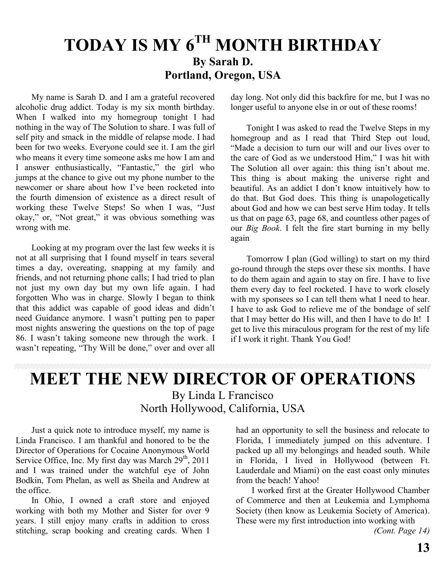# **TODAY IS MY 6TH MONTH BIRTHDAY By Sarah D. Portland, Oregon, USA**

My name is Sarah D. and I am a grateful recovered alcoholic drug addict. Today is my six month birthday. When I walked into my homegroup tonight I had nothing in the way of The Solution to share. I was full of self pity and smack in the middle of relapse mode. I had been for two weeks. Everyone could see it. I am the girl who means it every time someone asks me how I am and I answer enthusiastically, "Fantastic," the girl who jumps at the chance to give out my phone number to the newcomer or share about how I've been rocketed into the fourth dimension of existence as a direct result of working these Twelve Steps! So when I was, "Just okay," or, "Not great," it was obvious something was wrong with me.

Looking at my program over the last few weeks it is not at all surprising that I found myself in tears several times a day, overeating, snapping at my family and friends, and not returning phone calls; I had tried to plan not just my own day but my own life again. I had forgotten Who was in charge. Slowly I began to think that this addict was capable of good ideas and didn't need Guidance anymore. I wasn't putting pen to paper most nights answering the questions on the top of page 86. I wasn't taking someone new through the work. I wasn't repeating, "Thy Will be done," over and over all day long. Not only did this backfire for me, but I was no longer useful to anyone else in or out of these rooms!

Tonight I was asked to read the Twelve Steps in my homegroup and as I read that Third Step out loud, "Made a decision to turn our will and our lives over to the care of God as we understood Him," I was hit with The Solution all over again: this thing isn't about me. This thing is about making the universe right and beautiful. As an addict I don't know intuitively how to do that. But God does. This thing is unapologetically about God and how we can best serve Him today. It tells us that on page 63, page 68, and countless other pages of our *Big Book*. I felt the fire start burning in my belly again

Tomorrow I plan (God willing) to start on my third go-round through the steps over these six months. I have to do them again and again to stay on fire. I have to live them every day to feel rocketed. I have to work closely with my sponsees so I can tell them what I need to hear. I have to ask God to relieve me of the bondage of self that I may better do His will, and then I have to do It! I get to live this miraculous program for the rest of my life if I work it right. Thank You God!

# **MEET THE NEW DIRECTOR OF OPERATIONS** By Linda L Francisco North Hollywood, California, USA

Just a quick note to introduce myself, my name is Linda Francisco. I am thankful and honored to be the Director of Operations for Cocaine Anonymous World Service Office, Inc. My first day was March  $29<sup>th</sup>$ , 2011 and I was trained under the watchful eye of John Bodkin, Tom Phelan, as well as Sheila and Andrew at the office.

In Ohio, I owned a craft store and enjoyed working with both my Mother and Sister for over 9 years. I still enjoy many crafts in addition to cross stitching, scrap booking and creating cards. When I had an opportunity to sell the business and relocate to Florida, I immediately jumped on this adventure. I packed up all my belongings and headed south. While in Florida, I lived in Hollywood (between Ft. Lauderdale and Miami) on the east coast only minutes from the beach! Yahoo!

I worked first at the Greater Hollywood Chamber of Commerce and then at Leukemia and Lymphoma Society (then know as Leukemia Society of America). These were my first introduction into working with

 *(Cont. Page 14)*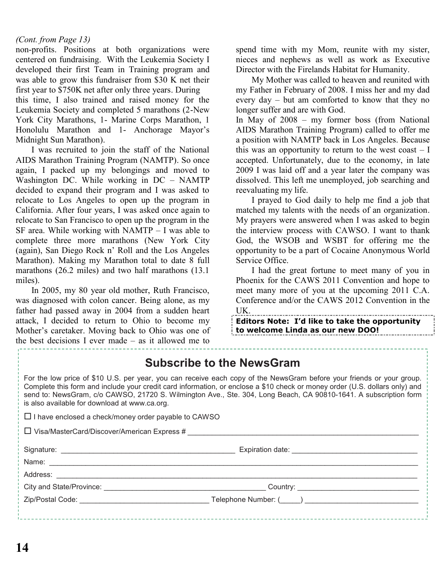#### *(Cont. from Page 13)*

non-profits. Positions at both organizations were centered on fundraising. With the Leukemia Society I developed their first Team in Training program and was able to grow this fundraiser from \$30 K net their first year to \$750K net after only three years. During this time, I also trained and raised money for the Leukemia Society and completed 5 marathons (2-New York City Marathons, 1- Marine Corps Marathon, 1 Honolulu Marathon and 1- Anchorage Mayor's Midnight Sun Marathon).

I was recruited to join the staff of the National AIDS Marathon Training Program (NAMTP). So once again, I packed up my belongings and moved to Washington DC. While working in DC – NAMTP decided to expand their program and I was asked to relocate to Los Angeles to open up the program in California. After four years, I was asked once again to relocate to San Francisco to open up the program in the SF area. While working with NAMTP  $-$  I was able to complete three more marathons (New York City (again), San Diego Rock n' Roll and the Los Angeles Marathon). Making my Marathon total to date 8 full marathons (26.2 miles) and two half marathons (13.1 miles).

In 2005, my 80 year old mother, Ruth Francisco, was diagnosed with colon cancer. Being alone, as my father had passed away in 2004 from a sudden heart attack, I decided to return to Ohio to become my Mother's caretaker. Moving back to Ohio was one of the best decisions I ever made – as it allowed me to

spend time with my Mom, reunite with my sister, nieces and nephews as well as work as Executive Director with the Firelands Habitat for Humanity.

My Mother was called to heaven and reunited with my Father in February of 2008. I miss her and my dad every day – but am comforted to know that they no longer suffer and are with God.

In May of 2008 – my former boss (from National AIDS Marathon Training Program) called to offer me a position with NAMTP back in Los Angeles. Because this was an opportunity to return to the west coast  $-1$ accepted. Unfortunately, due to the economy, in late 2009 I was laid off and a year later the company was dissolved. This left me unemployed, job searching and reevaluating my life.

I prayed to God daily to help me find a job that matched my talents with the needs of an organization. My prayers were answered when I was asked to begin the interview process with CAWSO. I want to thank God, the WSOB and WSBT for offering me the opportunity to be a part of Cocaine Anonymous World Service Office.

I had the great fortune to meet many of you in Phoenix for the CAWS 2011 Convention and hope to meet many more of you at the upcoming 2011 C.A. Conference and/or the CAWS 2012 Convention in the UK.

**Editors Note: I'd like to take the opportunity to welcome Linda as our new DOO!**

|                                                                                                                                                                                                                                                                                                                                                                                                                           | <b>Subscribe to the NewsGram</b> |  |  |  |  |
|---------------------------------------------------------------------------------------------------------------------------------------------------------------------------------------------------------------------------------------------------------------------------------------------------------------------------------------------------------------------------------------------------------------------------|----------------------------------|--|--|--|--|
| For the low price of \$10 U.S. per year, you can receive each copy of the NewsGram before your friends or your group.<br>Complete this form and include your credit card information, or enclose a \$10 check or money order (U.S. dollars only) and<br>send to: NewsGram, c/o CAWSO, 21720 S. Wilmington Ave., Ste. 304, Long Beach, CA 90810-1641. A subscription form<br>is also available for download at www.ca.org. |                                  |  |  |  |  |
| $\Box$ I have enclosed a check/money order payable to CAWSO                                                                                                                                                                                                                                                                                                                                                               |                                  |  |  |  |  |
|                                                                                                                                                                                                                                                                                                                                                                                                                           |                                  |  |  |  |  |
|                                                                                                                                                                                                                                                                                                                                                                                                                           |                                  |  |  |  |  |
|                                                                                                                                                                                                                                                                                                                                                                                                                           |                                  |  |  |  |  |
|                                                                                                                                                                                                                                                                                                                                                                                                                           |                                  |  |  |  |  |
|                                                                                                                                                                                                                                                                                                                                                                                                                           |                                  |  |  |  |  |
|                                                                                                                                                                                                                                                                                                                                                                                                                           |                                  |  |  |  |  |
|                                                                                                                                                                                                                                                                                                                                                                                                                           |                                  |  |  |  |  |
|                                                                                                                                                                                                                                                                                                                                                                                                                           |                                  |  |  |  |  |

 $\mathfrak{f}^+$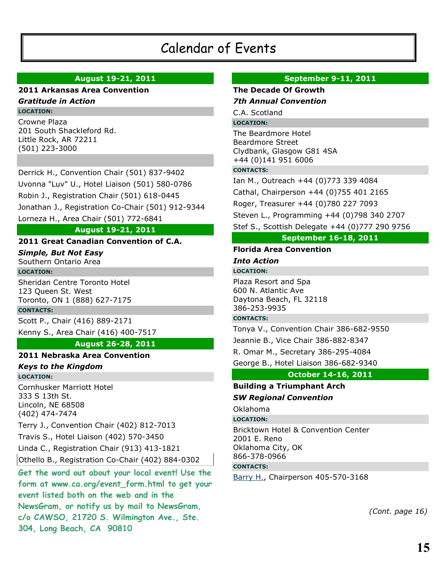# Calendar of Events

#### **August 19-21, 2011**

#### **2011 Arkansas Area Convention**

#### *Gratitude in Action* **LOCATION:**

Crowne Plaza 201 South Shackleford Rd. Little Rock, AR 72211 (501) 223-3000

Derrick H., Convention Chair (501) 837-9402 Uvonna "Luv" U., Hotel Liaison (501) 580-0786 Robin J., Registration Chair (501) 618-0445 Jonathan J., Registration Co-Chair (501) 912-9344 Lorneza H., Area Chair (501) 772-6841

#### **August 19-21, 2011**

#### **2011 Great Canadian Convention of C.A.**

*Simple, But Not Easy* Southern Ontario Area **LOCATION:**

Sheridan Centre Toronto Hotel 123 Queen St. West Toronto, ON 1 (888) 627-7175

**CONTACTS:**

Scott P., Chair (416) 889-2171 Kenny S., Area Chair (416) 400-7517

#### **August 26-28, 2011**

#### **2011 Nebraska Area Convention**

#### *Keys to the Kingdom*

**LOCATION:**

Cornhusker Marriott Hotel 333 S 13th St. Lincoln, NE 68508 (402) 474-7474

Terry J., Convention Chair (402) 812-7013 Travis S., Hotel Liaison (402) 570-3450

Linda C., Registration Chair (913) 413-1821

Othello B., Registration Co-Chair (402) 884-0302

**Get the word out about your local event! Use the form at www.ca.org/event\_form.html to get your event listed both on the web and in the NewsGram, or notify us by mail to NewsGram, c/o CAWSO, 21720 S. Wilmington Ave., Ste. 304, Long Beach, CA 90810**

#### **September 9-11, 2011**

#### **The Decade Of Growth**

#### *7th Annual Convention*

C.A. Scotland

#### **LOCATION:**

The Beardmore Hotel Beardmore Street Clydbank, Glasgow G81 4SA +44 (0)141 951 6006

#### **CONTACTS:**

Ian M., Outreach +44 (0)773 339 4084 Cathal, Chairperson +44 (0)755 401 2165 Roger, Treasurer +44 (0)780 227 7093 Steven L., Programming +44 (0)798 340 2707 Stef S., Scottish Delegate +44 (0)777 290 9756

#### **September 16-18, 2011**

#### **Florida Area Convention**

*Into Action*

#### **LOCATION:**

Plaza Resort and Spa 600 N. Atlantic Ave Daytona Beach, FL 32118 386-253-9935

#### **CONTACTS:**

Tonya V., Convention Chair 386-682-9550 Jeannie B., Vice Chair 386-882-8347 R. Omar M., Secretary 386-295-4084 George B., Hotel Liaison 386-682-9340

#### **October 14-16, 2011**

#### **Building a Triumphant Arch** *SW Regional Convention*

## Oklahoma

#### **LOCATION:**

Bricktown Hotel & Convention Center 2001 E. Reno Oklahoma City, OK 866-378-0966

#### **CONTACTS:**

Barry H., Chairperson 405-570-3168

*(Cont. page 16)*